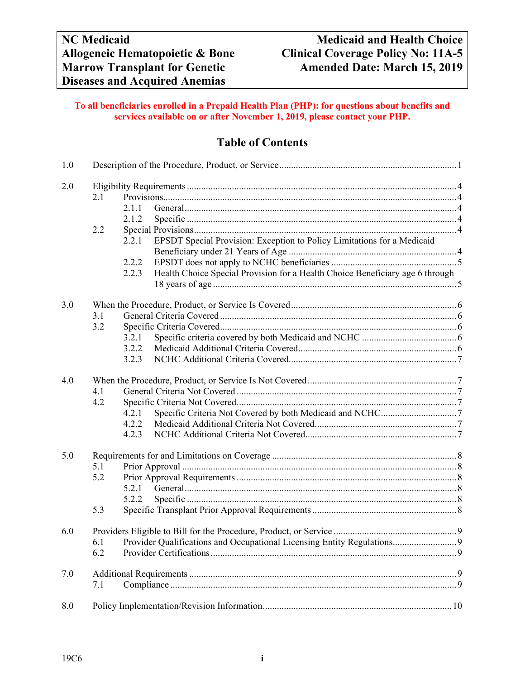#### **To all beneficiaries enrolled in a Prepaid Health Plan (PHP): for questions about benefits and services available on or after November 1, 2019, please contact your PHP.**

# **Table of Contents**

| 1.0 |     |                                                                                        |  |  |  |
|-----|-----|----------------------------------------------------------------------------------------|--|--|--|
| 2.0 |     |                                                                                        |  |  |  |
|     | 2.1 |                                                                                        |  |  |  |
|     |     | 2.1.1                                                                                  |  |  |  |
|     |     | 2.1.2                                                                                  |  |  |  |
|     | 2.2 |                                                                                        |  |  |  |
|     |     | EPSDT Special Provision: Exception to Policy Limitations for a Medicaid<br>2.2.1       |  |  |  |
|     |     |                                                                                        |  |  |  |
|     |     | 2.2.2                                                                                  |  |  |  |
|     |     | Health Choice Special Provision for a Health Choice Beneficiary age 6 through<br>2.2.3 |  |  |  |
|     |     |                                                                                        |  |  |  |
| 3.0 |     |                                                                                        |  |  |  |
|     | 3.1 |                                                                                        |  |  |  |
|     | 3.2 |                                                                                        |  |  |  |
|     |     | 3.2.1                                                                                  |  |  |  |
|     |     | 3.2.2                                                                                  |  |  |  |
|     |     | 3.2.3                                                                                  |  |  |  |
| 4.0 |     |                                                                                        |  |  |  |
|     | 4.1 |                                                                                        |  |  |  |
|     | 4.2 |                                                                                        |  |  |  |
|     |     | 4.2.1                                                                                  |  |  |  |
|     |     | 4.2.2                                                                                  |  |  |  |
|     |     | 4.2.3                                                                                  |  |  |  |
| 5.0 |     |                                                                                        |  |  |  |
|     | 5.1 |                                                                                        |  |  |  |
|     | 5.2 |                                                                                        |  |  |  |
|     |     | 5.2.1                                                                                  |  |  |  |
|     |     | 5.2.2                                                                                  |  |  |  |
|     | 5.3 |                                                                                        |  |  |  |
| 6.0 |     |                                                                                        |  |  |  |
|     | 6.1 |                                                                                        |  |  |  |
|     | 6.2 |                                                                                        |  |  |  |
| 7.0 |     |                                                                                        |  |  |  |
|     | 7.1 |                                                                                        |  |  |  |
| 8.0 |     |                                                                                        |  |  |  |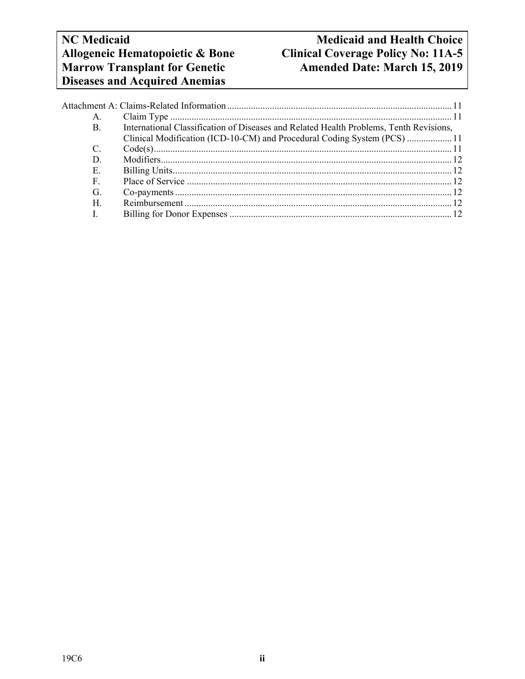# **NC Medicaid Medicaid Allogeneic Hematopoietic & Bone Clinical Coverage Policy No: 11A-5** Allogeneic Hematopoietic & Bone<br>
Clinical Coverage Policy No: 11A-5<br> **Marrow Transplant for Genetic Amended Date: March 15, 2019** Amended Date: March 15, 2019

| A. |                                                                                        |  |
|----|----------------------------------------------------------------------------------------|--|
| B. | International Classification of Diseases and Related Health Problems, Tenth Revisions, |  |
|    | Clinical Modification (ICD-10-CM) and Procedural Coding System (PCS)  11               |  |
|    |                                                                                        |  |
| D. |                                                                                        |  |
| Е. |                                                                                        |  |
| F. |                                                                                        |  |
| G. |                                                                                        |  |
| Н. |                                                                                        |  |
|    |                                                                                        |  |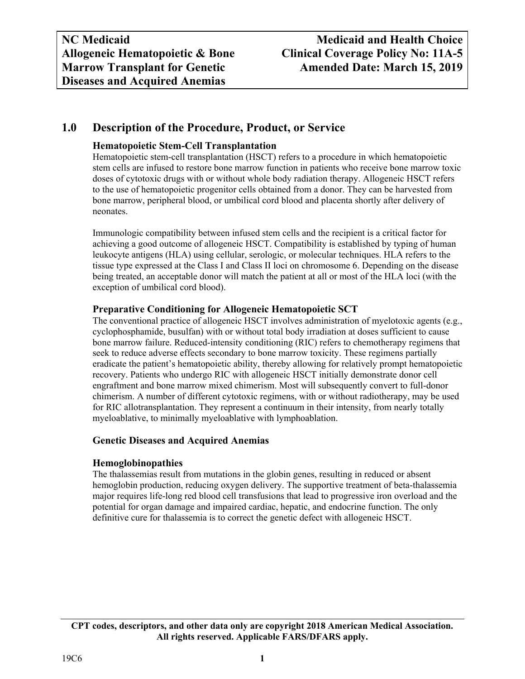# **1.0 Description of the Procedure, Product, or Service**

### **Hematopoietic Stem-Cell Transplantation**

Hematopoietic stem-cell transplantation (HSCT) refers to a procedure in which hematopoietic stem cells are infused to restore bone marrow function in patients who receive bone marrow toxic doses of cytotoxic drugs with or without whole body radiation therapy. Allogeneic HSCT refers to the use of hematopoietic progenitor cells obtained from a donor. They can be harvested from bone marrow, peripheral blood, or umbilical cord blood and placenta shortly after delivery of neonates.

Immunologic compatibility between infused stem cells and the recipient is a critical factor for achieving a good outcome of allogeneic HSCT. Compatibility is established by typing of human leukocyte antigens (HLA) using cellular, serologic, or molecular techniques. HLA refers to the tissue type expressed at the Class I and Class II loci on chromosome 6. Depending on the disease being treated, an acceptable donor will match the patient at all or most of the HLA loci (with the exception of umbilical cord blood).

#### **Preparative Conditioning for Allogeneic Hematopoietic SCT**

The conventional practice of allogeneic HSCT involves administration of myelotoxic agents (e.g., cyclophosphamide, busulfan) with or without total body irradiation at doses sufficient to cause bone marrow failure. Reduced-intensity conditioning (RIC) refers to chemotherapy regimens that seek to reduce adverse effects secondary to bone marrow toxicity. These regimens partially eradicate the patient's hematopoietic ability, thereby allowing for relatively prompt hematopoietic recovery. Patients who undergo RIC with allogeneic HSCT initially demonstrate donor cell engraftment and bone marrow mixed chimerism. Most will subsequently convert to full-donor chimerism. A number of different cytotoxic regimens, with or without radiotherapy, may be used for RIC allotransplantation. They represent a continuum in their intensity, from nearly totally myeloablative, to minimally myeloablative with lymphoablation.

#### **Genetic Diseases and Acquired Anemias**

# **Hemoglobinopathies**

The thalassemias result from mutations in the globin genes, resulting in reduced or absent hemoglobin production, reducing oxygen delivery. The supportive treatment of beta-thalassemia major requires life-long red blood cell transfusions that lead to progressive iron overload and the potential for organ damage and impaired cardiac, hepatic, and endocrine function. The only definitive cure for thalassemia is to correct the genetic defect with allogeneic HSCT.

**CPT codes, descriptors, and other data only are copyright 2018 American Medical Association. All rights reserved. Applicable FARS/DFARS apply.**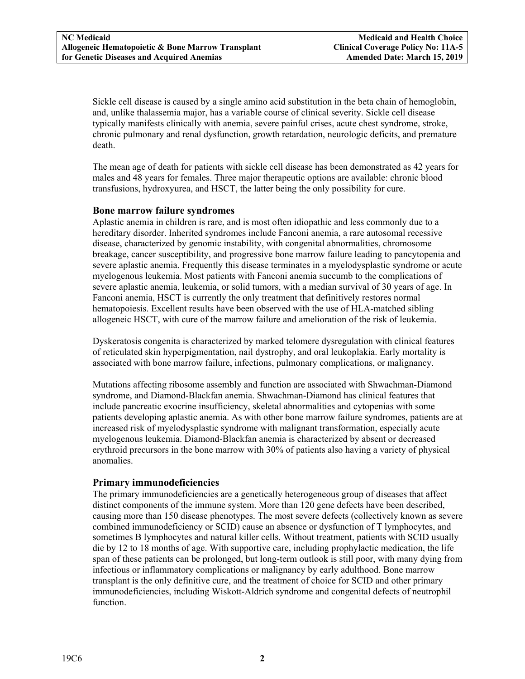Sickle cell disease is caused by a single amino acid substitution in the beta chain of hemoglobin, and, unlike thalassemia major, has a variable course of clinical severity. Sickle cell disease typically manifests clinically with anemia, severe painful crises, acute chest syndrome, stroke, chronic pulmonary and renal dysfunction, growth retardation, neurologic deficits, and premature death.

The mean age of death for patients with sickle cell disease has been demonstrated as 42 years for males and 48 years for females. Three major therapeutic options are available: chronic blood transfusions, hydroxyurea, and HSCT, the latter being the only possibility for cure.

#### **Bone marrow failure syndromes**

Aplastic anemia in children is rare, and is most often idiopathic and less commonly due to a hereditary disorder. Inherited syndromes include Fanconi anemia, a rare autosomal recessive disease, characterized by genomic instability, with congenital abnormalities, chromosome breakage, cancer susceptibility, and progressive bone marrow failure leading to pancytopenia and severe aplastic anemia. Frequently this disease terminates in a myelodysplastic syndrome or acute myelogenous leukemia. Most patients with Fanconi anemia succumb to the complications of severe aplastic anemia, leukemia, or solid tumors, with a median survival of 30 years of age. In Fanconi anemia, HSCT is currently the only treatment that definitively restores normal hematopoiesis. Excellent results have been observed with the use of HLA-matched sibling allogeneic HSCT, with cure of the marrow failure and amelioration of the risk of leukemia.

Dyskeratosis congenita is characterized by marked telomere dysregulation with clinical features of reticulated skin hyperpigmentation, nail dystrophy, and oral leukoplakia. Early mortality is associated with bone marrow failure, infections, pulmonary complications, or malignancy.

Mutations affecting ribosome assembly and function are associated with Shwachman-Diamond syndrome, and Diamond-Blackfan anemia. Shwachman-Diamond has clinical features that include pancreatic exocrine insufficiency, skeletal abnormalities and cytopenias with some patients developing aplastic anemia. As with other bone marrow failure syndromes, patients are at increased risk of myelodysplastic syndrome with malignant transformation, especially acute myelogenous leukemia. Diamond-Blackfan anemia is characterized by absent or decreased erythroid precursors in the bone marrow with 30% of patients also having a variety of physical anomalies.

#### **Primary immunodeficiencies**

The primary immunodeficiencies are a genetically heterogeneous group of diseases that affect distinct components of the immune system. More than 120 gene defects have been described, causing more than 150 disease phenotypes. The most severe defects (collectively known as severe combined immunodeficiency or SCID) cause an absence or dysfunction of T lymphocytes, and sometimes B lymphocytes and natural killer cells. Without treatment, patients with SCID usually die by 12 to 18 months of age. With supportive care, including prophylactic medication, the life span of these patients can be prolonged, but long-term outlook is still poor, with many dying from infectious or inflammatory complications or malignancy by early adulthood. Bone marrow transplant is the only definitive cure, and the treatment of choice for SCID and other primary immunodeficiencies, including Wiskott-Aldrich syndrome and congenital defects of neutrophil function.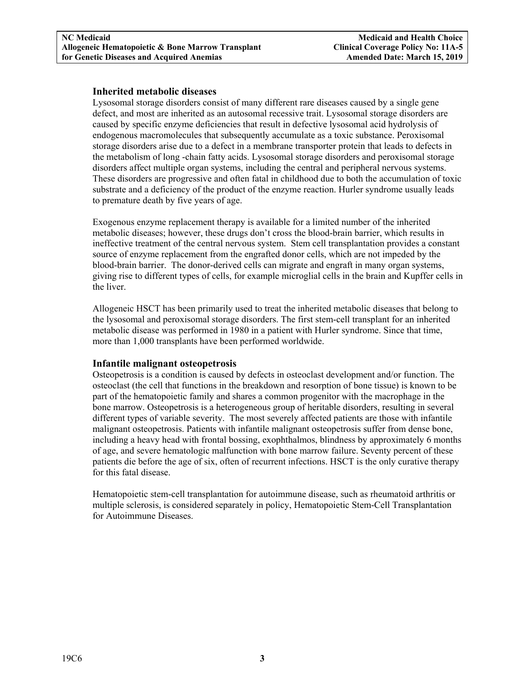#### **Inherited metabolic diseases**

Lysosomal storage disorders consist of many different rare diseases caused by a single gene defect, and most are inherited as an autosomal recessive trait. Lysosomal storage disorders are caused by specific enzyme deficiencies that result in defective lysosomal acid hydrolysis of endogenous macromolecules that subsequently accumulate as a toxic substance. Peroxisomal storage disorders arise due to a defect in a membrane transporter protein that leads to defects in the metabolism of long -chain fatty acids. Lysosomal storage disorders and peroxisomal storage disorders affect multiple organ systems, including the central and peripheral nervous systems. These disorders are progressive and often fatal in childhood due to both the accumulation of toxic substrate and a deficiency of the product of the enzyme reaction. Hurler syndrome usually leads to premature death by five years of age.

Exogenous enzyme replacement therapy is available for a limited number of the inherited metabolic diseases; however, these drugs don't cross the blood-brain barrier, which results in ineffective treatment of the central nervous system. Stem cell transplantation provides a constant source of enzyme replacement from the engrafted donor cells, which are not impeded by the blood-brain barrier. The donor-derived cells can migrate and engraft in many organ systems, giving rise to different types of cells, for example microglial cells in the brain and Kupffer cells in the liver.

Allogeneic HSCT has been primarily used to treat the inherited metabolic diseases that belong to the lysosomal and peroxisomal storage disorders. The first stem-cell transplant for an inherited metabolic disease was performed in 1980 in a patient with Hurler syndrome. Since that time, more than 1,000 transplants have been performed worldwide.

#### **Infantile malignant osteopetrosis**

Osteopetrosis is a condition is caused by defects in osteoclast development and/or function. The osteoclast (the cell that functions in the breakdown and resorption of bone tissue) is known to be part of the hematopoietic family and shares a common progenitor with the macrophage in the bone marrow. Osteopetrosis is a heterogeneous group of heritable disorders, resulting in several different types of variable severity. The most severely affected patients are those with infantile malignant osteopetrosis. Patients with infantile malignant osteopetrosis suffer from dense bone, including a heavy head with frontal bossing, exophthalmos, blindness by approximately 6 months of age, and severe hematologic malfunction with bone marrow failure. Seventy percent of these patients die before the age of six, often of recurrent infections. HSCT is the only curative therapy for this fatal disease.

Hematopoietic stem-cell transplantation for autoimmune disease, such as rheumatoid arthritis or multiple sclerosis, is considered separately in policy, Hematopoietic Stem-Cell Transplantation for Autoimmune Diseases.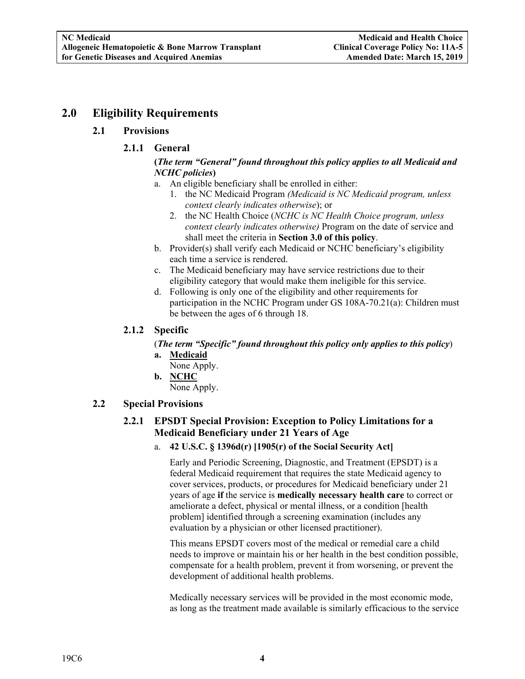# **2.0 Eligibility Requirements**

## **2.1 Provisions**

## **2.1.1 General**

#### **(***The term "General" found throughout this policy applies to all Medicaid and NCHC policies***)**

- a. An eligible beneficiary shall be enrolled in either:
	- 1. the NC Medicaid Program *(Medicaid is NC Medicaid program, unless context clearly indicates otherwise*); or
	- 2. the NC Health Choice (*NCHC is NC Health Choice program, unless context clearly indicates otherwise)* Program on the date of service and shall meet the criteria in **Section 3.0 of this policy**.
- b. Provider(s) shall verify each Medicaid or NCHC beneficiary's eligibility each time a service is rendered.
- c. The Medicaid beneficiary may have service restrictions due to their eligibility category that would make them ineligible for this service.
- d. Following is only one of the eligibility and other requirements for participation in the NCHC Program under GS 108A-70.21(a): Children must be between the ages of 6 through 18.

## **2.1.2 Specific**

(*The term "Specific" found throughout this policy only applies to this policy*) **a. Medicaid** 

- None Apply.
- **b. NCHC**

None Apply.

### **2.2 Special Provisions**

# **2.2.1 EPSDT Special Provision: Exception to Policy Limitations for a Medicaid Beneficiary under 21 Years of Age**

a. **42 U.S.C. § 1396d(r) [1905(r) of the Social Security Act]** 

Early and Periodic Screening, Diagnostic, and Treatment (EPSDT) is a federal Medicaid requirement that requires the state Medicaid agency to cover services, products, or procedures for Medicaid beneficiary under 21 years of age **if** the service is **medically necessary health care** to correct or ameliorate a defect, physical or mental illness, or a condition [health problem] identified through a screening examination (includes any evaluation by a physician or other licensed practitioner).

This means EPSDT covers most of the medical or remedial care a child needs to improve or maintain his or her health in the best condition possible, compensate for a health problem, prevent it from worsening, or prevent the development of additional health problems.

Medically necessary services will be provided in the most economic mode, as long as the treatment made available is similarly efficacious to the service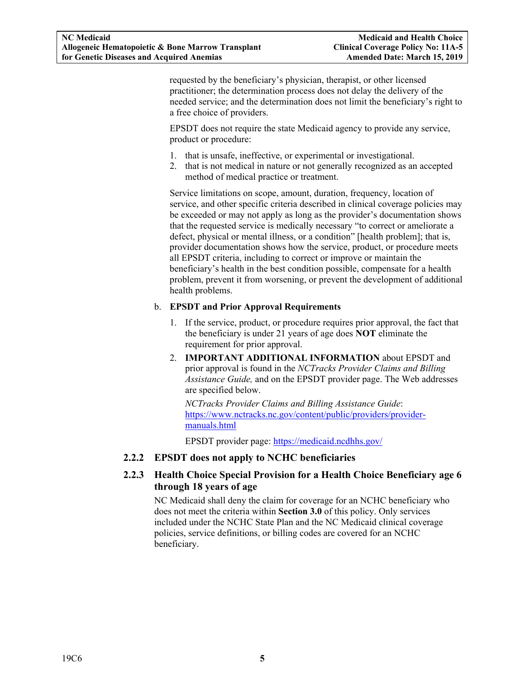requested by the beneficiary's physician, therapist, or other licensed practitioner; the determination process does not delay the delivery of the needed service; and the determination does not limit the beneficiary's right to a free choice of providers.

EPSDT does not require the state Medicaid agency to provide any service, product or procedure:

- 1. that is unsafe, ineffective, or experimental or investigational.
- 2. that is not medical in nature or not generally recognized as an accepted method of medical practice or treatment.

Service limitations on scope, amount, duration, frequency, location of service, and other specific criteria described in clinical coverage policies may be exceeded or may not apply as long as the provider's documentation shows that the requested service is medically necessary "to correct or ameliorate a defect, physical or mental illness, or a condition" [health problem]; that is, provider documentation shows how the service, product, or procedure meets all EPSDT criteria, including to correct or improve or maintain the beneficiary's health in the best condition possible, compensate for a health problem, prevent it from worsening, or prevent the development of additional health problems.

#### b. **EPSDT and Prior Approval Requirements**

- 1. If the service, product, or procedure requires prior approval, the fact that the beneficiary is under 21 years of age does **NOT** eliminate the requirement for prior approval.
- 2. **IMPORTANT ADDITIONAL INFORMATION** about EPSDT and prior approval is found in the *NCTracks Provider Claims and Billing Assistance Guide,* and on the EPSDT provider page. The Web addresses are specified below.

*NCTracks Provider Claims and Billing Assistance Guide*: https://www.nctracks.nc.gov/content/public/providers/providermanuals.html

EPSDT provider page: https://medicaid.ncdhhs.gov/

#### **2.2.2 EPSDT does not apply to NCHC beneficiaries**

## **2.2.3 Health Choice Special Provision for a Health Choice Beneficiary age 6 through 18 years of age**

NC Medicaid shall deny the claim for coverage for an NCHC beneficiary who does not meet the criteria within **Section 3.0** of this policy. Only services included under the NCHC State Plan and the NC Medicaid clinical coverage policies, service definitions, or billing codes are covered for an NCHC beneficiary.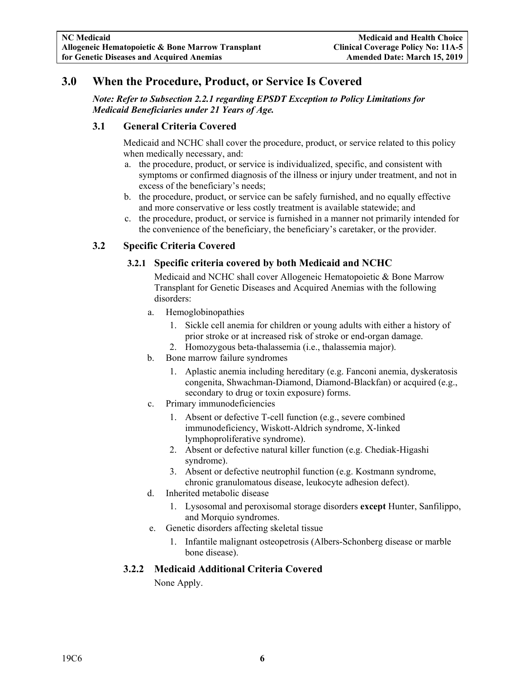# **3.0 When the Procedure, Product, or Service Is Covered**

*Note: Refer to Subsection 2.2.1 regarding EPSDT Exception to Policy Limitations for Medicaid Beneficiaries under 21 Years of Age.* 

### **3.1 General Criteria Covered**

Medicaid and NCHC shall cover the procedure, product, or service related to this policy when medically necessary, and:

- a. the procedure, product, or service is individualized, specific, and consistent with symptoms or confirmed diagnosis of the illness or injury under treatment, and not in excess of the beneficiary's needs;
- b. the procedure, product, or service can be safely furnished, and no equally effective and more conservative or less costly treatment is available statewide; and
- c. the procedure, product, or service is furnished in a manner not primarily intended for the convenience of the beneficiary, the beneficiary's caretaker, or the provider.

# **3.2 Specific Criteria Covered**

# **3.2.1 Specific criteria covered by both Medicaid and NCHC**

Medicaid and NCHC shall cover Allogeneic Hematopoietic & Bone Marrow Transplant for Genetic Diseases and Acquired Anemias with the following disorders:

- a. Hemoglobinopathies
	- 1. Sickle cell anemia for children or young adults with either a history of prior stroke or at increased risk of stroke or end-organ damage.
	- 2. Homozygous beta-thalassemia (i.e., thalassemia major).
- b. Bone marrow failure syndromes
	- 1. Aplastic anemia including hereditary (e.g. Fanconi anemia, dyskeratosis congenita, Shwachman-Diamond, Diamond-Blackfan) or acquired (e.g., secondary to drug or toxin exposure) forms.
- c. Primary immunodeficiencies
	- 1. Absent or defective T-cell function (e.g., severe combined immunodeficiency, Wiskott-Aldrich syndrome, X-linked lymphoproliferative syndrome).
	- 2. Absent or defective natural killer function (e.g. Chediak-Higashi syndrome).
	- 3. Absent or defective neutrophil function (e.g. Kostmann syndrome, chronic granulomatous disease, leukocyte adhesion defect).
- d. Inherited metabolic disease
	- 1. Lysosomal and peroxisomal storage disorders **except** Hunter, Sanfilippo, and Morquio syndromes.
- e. Genetic disorders affecting skeletal tissue
	- 1. Infantile malignant osteopetrosis (Albers-Schonberg disease or marble bone disease).

#### **3.2.2 Medicaid Additional Criteria Covered**

None Apply.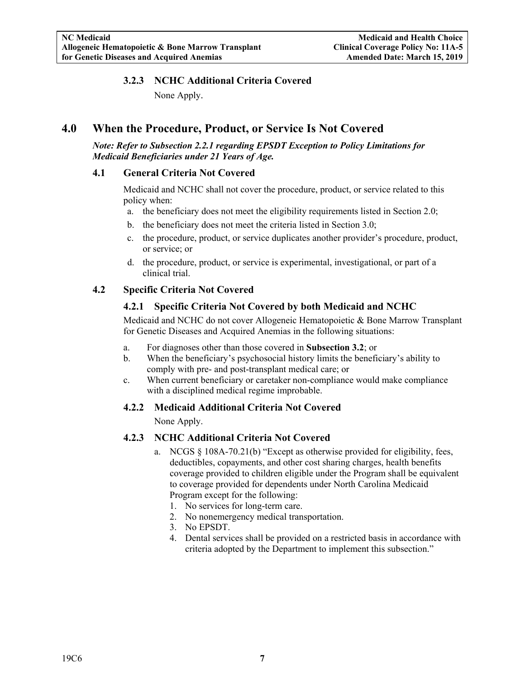## **3.2.3 NCHC Additional Criteria Covered**

None Apply.

# **4.0 When the Procedure, Product, or Service Is Not Covered**

*Note: Refer to Subsection 2.2.1 regarding EPSDT Exception to Policy Limitations for Medicaid Beneficiaries under 21 Years of Age.* 

#### **4.1 General Criteria Not Covered**

Medicaid and NCHC shall not cover the procedure, product, or service related to this policy when:

- a. the beneficiary does not meet the eligibility requirements listed in Section 2.0;
- b. the beneficiary does not meet the criteria listed in Section 3.0;
- c. the procedure, product, or service duplicates another provider's procedure, product, or service; or
- d. the procedure, product, or service is experimental, investigational, or part of a clinical trial.

#### **4.2 Specific Criteria Not Covered**

#### **4.2.1 Specific Criteria Not Covered by both Medicaid and NCHC**

Medicaid and NCHC do not cover Allogeneic Hematopoietic & Bone Marrow Transplant for Genetic Diseases and Acquired Anemias in the following situations:

- a. For diagnoses other than those covered in **Subsection 3.2**; or
- b. When the beneficiary's psychosocial history limits the beneficiary's ability to comply with pre- and post-transplant medical care; or
- c. When current beneficiary or caretaker non-compliance would make compliance with a disciplined medical regime improbable.

#### **4.2.2 Medicaid Additional Criteria Not Covered**

None Apply.

#### **4.2.3 NCHC Additional Criteria Not Covered**

- a. NCGS § 108A-70.21(b) "Except as otherwise provided for eligibility, fees, deductibles, copayments, and other cost sharing charges, health benefits coverage provided to children eligible under the Program shall be equivalent to coverage provided for dependents under North Carolina Medicaid Program except for the following:
	- 1. No services for long-term care.
	- 2. No nonemergency medical transportation.
	- 3. No EPSDT.
	- 4. Dental services shall be provided on a restricted basis in accordance with criteria adopted by the Department to implement this subsection."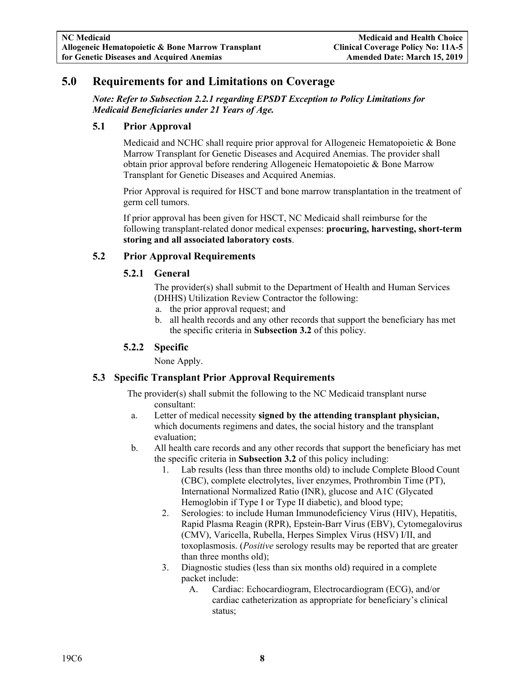# **5.0 Requirements for and Limitations on Coverage**

*Note: Refer to Subsection 2.2.1 regarding EPSDT Exception to Policy Limitations for Medicaid Beneficiaries under 21 Years of Age.* 

#### **5.1 Prior Approval**

Medicaid and NCHC shall require prior approval for Allogeneic Hematopoietic & Bone Marrow Transplant for Genetic Diseases and Acquired Anemias. The provider shall obtain prior approval before rendering Allogeneic Hematopoietic & Bone Marrow Transplant for Genetic Diseases and Acquired Anemias.

Prior Approval is required for HSCT and bone marrow transplantation in the treatment of germ cell tumors.

If prior approval has been given for HSCT, NC Medicaid shall reimburse for the following transplant-related donor medical expenses: **procuring, harvesting, short-term storing and all associated laboratory costs**.

#### **5.2 Prior Approval Requirements**

#### **5.2.1 General**

The provider(s) shall submit to the Department of Health and Human Services (DHHS) Utilization Review Contractor the following:

- a. the prior approval request; and
- b. all health records and any other records that support the beneficiary has met the specific criteria in **Subsection 3.2** of this policy.

#### **5.2.2 Specific**

None Apply.

#### **5.3 Specific Transplant Prior Approval Requirements**

The provider(s) shall submit the following to the NC Medicaid transplant nurse consultant:

- a. Letter of medical necessity **signed by the attending transplant physician,**  which documents regimens and dates, the social history and the transplant evaluation;
- b. All health care records and any other records that support the beneficiary has met the specific criteria in **Subsection 3.2** of this policy including:
	- 1. Lab results (less than three months old) to include Complete Blood Count (CBC), complete electrolytes, liver enzymes, Prothrombin Time (PT), International Normalized Ratio (INR), glucose and A1C (Glycated Hemoglobin if Type I or Type II diabetic), and blood type;
	- 2. Serologies: to include Human Immunodeficiency Virus (HIV), Hepatitis, Rapid Plasma Reagin (RPR), Epstein-Barr Virus (EBV), Cytomegalovirus (CMV), Varicella, Rubella, Herpes Simplex Virus (HSV) I/II, and toxoplasmosis. (*Positive* serology results may be reported that are greater than three months old);
	- 3. Diagnostic studies (less than six months old) required in a complete packet include:
		- A. Cardiac: Echocardiogram, Electrocardiogram (ECG), and/or cardiac catheterization as appropriate for beneficiary's clinical status;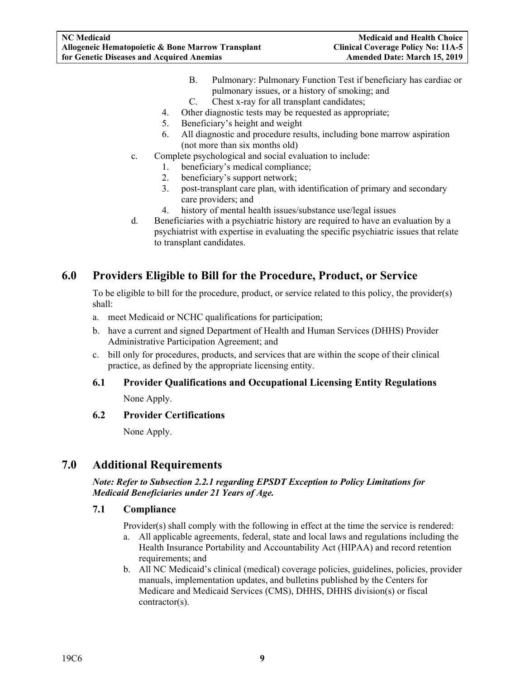- B. Pulmonary: Pulmonary Function Test if beneficiary has cardiac or pulmonary issues, or a history of smoking; and
- C. Chest x-ray for all transplant candidates;
- 4. Other diagnostic tests may be requested as appropriate;
- 5. Beneficiary's height and weight
- 6. All diagnostic and procedure results, including bone marrow aspiration (not more than six months old)
- c. Complete psychological and social evaluation to include:
	- 1. beneficiary's medical compliance;
	- 2. beneficiary's support network;
	- 3. post-transplant care plan, with identification of primary and secondary care providers; and
	- 4. history of mental health issues/substance use/legal issues
- d. Beneficiaries with a psychiatric history are required to have an evaluation by a psychiatrist with expertise in evaluating the specific psychiatric issues that relate to transplant candidates.

# **6.0 Providers Eligible to Bill for the Procedure, Product, or Service**

To be eligible to bill for the procedure, product, or service related to this policy, the provider(s) shall:

- a. meet Medicaid or NCHC qualifications for participation;
- b. have a current and signed Department of Health and Human Services (DHHS) Provider Administrative Participation Agreement; and
- c. bill only for procedures, products, and services that are within the scope of their clinical practice, as defined by the appropriate licensing entity.

# **6.1 Provider Qualifications and Occupational Licensing Entity Regulations**

None Apply.

#### **6.2 Provider Certifications**

None Apply.

# **7.0 Additional Requirements**

*Note: Refer to Subsection 2.2.1 regarding EPSDT Exception to Policy Limitations for Medicaid Beneficiaries under 21 Years of Age.* 

#### **7.1 Compliance**

Provider(s) shall comply with the following in effect at the time the service is rendered:

- a. All applicable agreements, federal, state and local laws and regulations including the Health Insurance Portability and Accountability Act (HIPAA) and record retention requirements; and
- b. All NC Medicaid's clinical (medical) coverage policies, guidelines, policies, provider manuals, implementation updates, and bulletins published by the Centers for Medicare and Medicaid Services (CMS), DHHS, DHHS division(s) or fiscal contractor(s).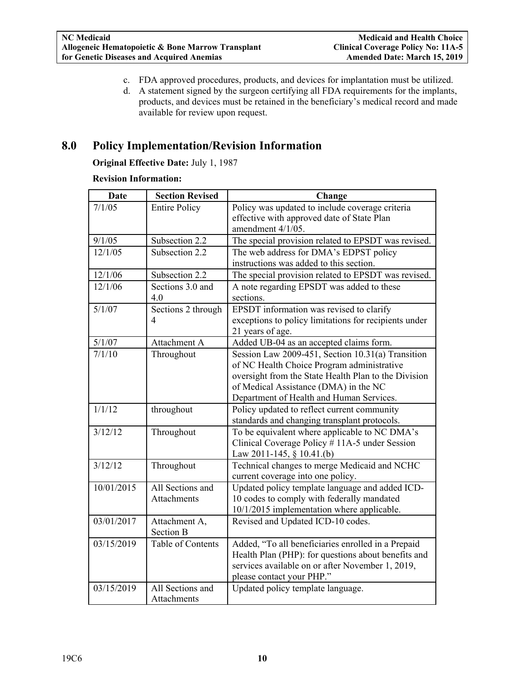- c. FDA approved procedures, products, and devices for implantation must be utilized.
- d. A statement signed by the surgeon certifying all FDA requirements for the implants, products, and devices must be retained in the beneficiary's medical record and made available for review upon request.

# **8.0 Policy Implementation/Revision Information**

**Original Effective Date:** July 1, 1987

#### **Revision Information:**

| <b>Date</b> | <b>Section Revised</b>                 | Change                                                                                                                                                                                                                                       |
|-------------|----------------------------------------|----------------------------------------------------------------------------------------------------------------------------------------------------------------------------------------------------------------------------------------------|
| 7/1/05      | <b>Entire Policy</b>                   | Policy was updated to include coverage criteria<br>effective with approved date of State Plan<br>amendment 4/1/05.                                                                                                                           |
| 9/1/05      | Subsection 2.2                         | The special provision related to EPSDT was revised.                                                                                                                                                                                          |
| 12/1/05     | Subsection 2.2                         | The web address for DMA's EDPST policy<br>instructions was added to this section.                                                                                                                                                            |
| 12/1/06     | Subsection 2.2                         | The special provision related to EPSDT was revised.                                                                                                                                                                                          |
| 12/1/06     | Sections 3.0 and<br>4.0                | A note regarding EPSDT was added to these<br>sections.                                                                                                                                                                                       |
| 5/1/07      | Sections 2 through<br>4                | EPSDT information was revised to clarify<br>exceptions to policy limitations for recipients under<br>21 years of age.                                                                                                                        |
| 5/1/07      | Attachment A                           | Added UB-04 as an accepted claims form.                                                                                                                                                                                                      |
| 7/1/10      | Throughout                             | Session Law 2009-451, Section 10.31(a) Transition<br>of NC Health Choice Program administrative<br>oversight from the State Health Plan to the Division<br>of Medical Assistance (DMA) in the NC<br>Department of Health and Human Services. |
| 1/1/12      | throughout                             | Policy updated to reflect current community<br>standards and changing transplant protocols.                                                                                                                                                  |
| 3/12/12     | Throughout                             | To be equivalent where applicable to NC DMA's<br>Clinical Coverage Policy #11A-5 under Session<br>Law 2011-145, § 10.41.(b)                                                                                                                  |
| 3/12/12     | Throughout                             | Technical changes to merge Medicaid and NCHC<br>current coverage into one policy.                                                                                                                                                            |
| 10/01/2015  | All Sections and<br><b>Attachments</b> | Updated policy template language and added ICD-<br>10 codes to comply with federally mandated<br>10/1/2015 implementation where applicable.                                                                                                  |
| 03/01/2017  | Attachment A,<br><b>Section B</b>      | Revised and Updated ICD-10 codes.                                                                                                                                                                                                            |
| 03/15/2019  | Table of Contents                      | Added, "To all beneficiaries enrolled in a Prepaid<br>Health Plan (PHP): for questions about benefits and<br>services available on or after November 1, 2019,<br>please contact your PHP."                                                   |
| 03/15/2019  | All Sections and<br>Attachments        | Updated policy template language.                                                                                                                                                                                                            |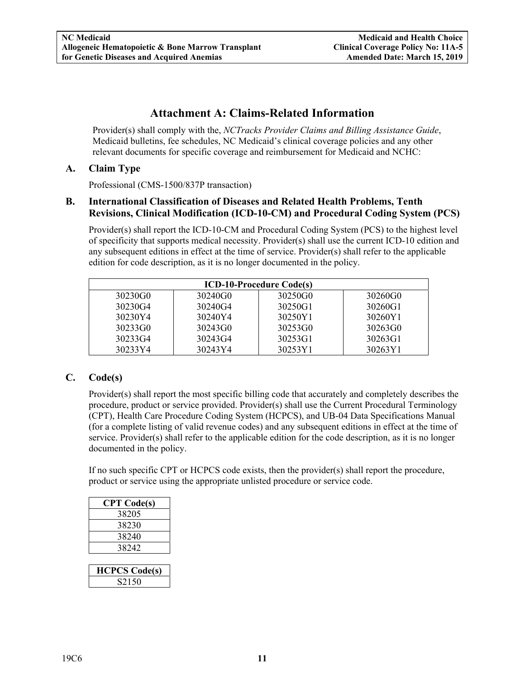# **Attachment A: Claims-Related Information**

Provider(s) shall comply with the, *NCTracks Provider Claims and Billing Assistance Guide*, Medicaid bulletins, fee schedules, NC Medicaid's clinical coverage policies and any other relevant documents for specific coverage and reimbursement for Medicaid and NCHC:

## **A. Claim Type**

Professional (CMS-1500/837P transaction)

#### **B. International Classification of Diseases and Related Health Problems, Tenth Revisions, Clinical Modification (ICD-10-CM) and Procedural Coding System (PCS)**

Provider(s) shall report the ICD-10-CM and Procedural Coding System (PCS) to the highest level of specificity that supports medical necessity. Provider(s) shall use the current ICD-10 edition and any subsequent editions in effect at the time of service. Provider(s) shall refer to the applicable edition for code description, as it is no longer documented in the policy.

| <b>ICD-10-Procedure Code(s)</b> |         |         |         |  |  |  |  |  |
|---------------------------------|---------|---------|---------|--|--|--|--|--|
| 30230G0                         | 30240G0 | 30250G0 | 30260G0 |  |  |  |  |  |
| 30230G4                         | 30240G4 | 30250G1 | 30260G1 |  |  |  |  |  |
| 30230Y4                         | 30240Y4 | 30250Y1 | 30260Y1 |  |  |  |  |  |
| 30233G0                         | 30243G0 | 30253G0 | 30263G0 |  |  |  |  |  |
| 30233G4                         | 30243G4 | 30253G1 | 30263G1 |  |  |  |  |  |
| 30233Y4                         | 30243Y4 | 30253Y1 | 30263Y1 |  |  |  |  |  |

# **C. Code(s)**

Provider(s) shall report the most specific billing code that accurately and completely describes the procedure, product or service provided. Provider(s) shall use the Current Procedural Terminology (CPT), Health Care Procedure Coding System (HCPCS), and UB-04 Data Specifications Manual (for a complete listing of valid revenue codes) and any subsequent editions in effect at the time of service. Provider(s) shall refer to the applicable edition for the code description, as it is no longer documented in the policy.

If no such specific CPT or HCPCS code exists, then the provider(s) shall report the procedure, product or service using the appropriate unlisted procedure or service code.

| <b>CPT</b> Code(s) |
|--------------------|
| 38205              |
| 38230              |
| 38240              |
| 38242              |

| <b>HCPCS Code(s)</b> |
|----------------------|
| 50<br>8215           |